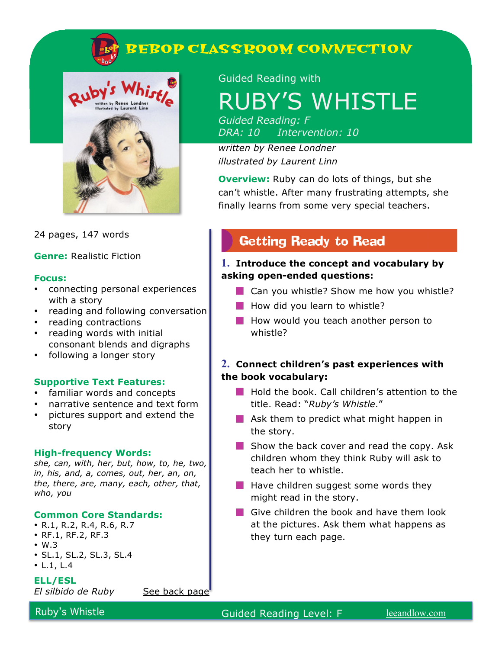



24 pages, 147 words

**Genre:** Realistic Fiction

#### **Focus:**

- connecting personal experiences with a story
- reading and following conversation
- reading contractions
- reading words with initial consonant blends and digraphs
- following a longer story

#### **Supportive Text Features:**

- familiar words and concepts
- narrative sentence and text form
- pictures support and extend the story

#### **High-frequency Words:**

*she, can, with, her, but, how, to, he, two, in, his, and, a, comes, out, her, an, on, the, there, are, many, each, other, that, who, you*

#### **Common Core Standards:**

- R.1, R.2, R.4, R.6, R.7
- RF.1, RF.2, RF.3
- W.3
- SL.1, SL.2, SL.3, SL.4

 $\cdot$  L.1, L.4

**ELL/ESL** 

*El silbido de Ruby* See back page

Guided Reading with

# RUBY'S WHISTLE

*Guided Reading: F DRA: 10 Intervention: 10*

*written by Renee Londner illustrated by Laurent Linn*

**Overview:** Ruby can do lots of things, but she can't whistle. After many frustrating attempts, she finally learns from some very special teachers.

## **Getting Ready to Read**

#### **1. Introduce the concept and vocabulary by asking open-ended questions:**

- **Can you whistle? Show me how you whistle?**
- $\blacksquare$  How did you learn to whistle?
- How would you teach another person to whistle?

#### **2. Connect children's past experiences with the book vocabulary:**

- **Hold the book. Call children's attention to the** title. Read: "*Ruby's Whistle*."
- **Ask them to predict what might happen in** the story.
- $\blacksquare$  Show the back cover and read the copy. Ask children whom they think Ruby will ask to teach her to whistle.
- $\blacksquare$  Have children suggest some words they might read in the story.
- Give children the book and have them look at the pictures. Ask them what happens as they turn each page.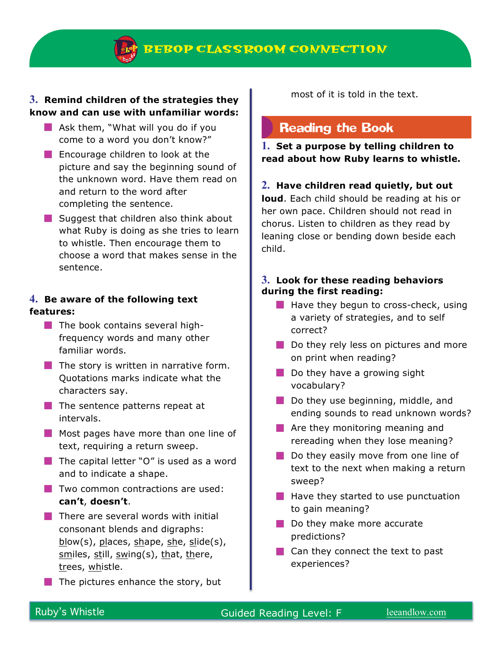#### **3. Remind children of the strategies they know and can use with unfamiliar words:**

- $\blacksquare$  Ask them, "What will you do if you come to a word you don't know?"
- **Encourage children to look at the** picture and say the beginning sound of the unknown word. Have them read on and return to the word after completing the sentence.
- $\blacksquare$  Suggest that children also think about what Ruby is doing as she tries to learn to whistle. Then encourage them to choose a word that makes sense in the sentence.

#### **4. Be aware of the following text features:**

- $\blacksquare$  The book contains several highfrequency words and many other familiar words.
- $\blacksquare$  The story is written in narrative form. Quotations marks indicate what the characters say.
- $\blacksquare$  The sentence patterns repeat at intervals.
- **Most pages have more than one line of** text, requiring a return sweep.
- $\blacksquare$  The capital letter "O" is used as a word and to indicate a shape.
- $\blacksquare$  Two common contractions are used: **can't**, **doesn't**.
- $\blacksquare$  There are several words with initial consonant blends and digraphs: blow(s), places, shape, she, slide(s), smiles, still, swing(s), that, there, trees, whistle.
- $\blacksquare$  The pictures enhance the story, but

most of it is told in the text.

### **Reading the Book**

**1. Set a purpose by telling children to read about how Ruby learns to whistle.**

#### **2. Have children read quietly, but out**

**loud**. Each child should be reading at his or her own pace. Children should not read in chorus. Listen to children as they read by leaning close or bending down beside each child.

#### **3. Look for these reading behaviors during the first reading:**

- $\blacksquare$  Have they begun to cross-check, using a variety of strategies, and to self correct?
- Do they rely less on pictures and more on print when reading?
- $\blacksquare$  Do they have a growing sight vocabulary?
- Do they use beginning, middle, and ending sounds to read unknown words?
- **Are they monitoring meaning and** rereading when they lose meaning?
- Do they easily move from one line of text to the next when making a return sweep?
- $\blacksquare$  Have they started to use punctuation to gain meaning?
- Do they make more accurate predictions?
- Can they connect the text to past experiences?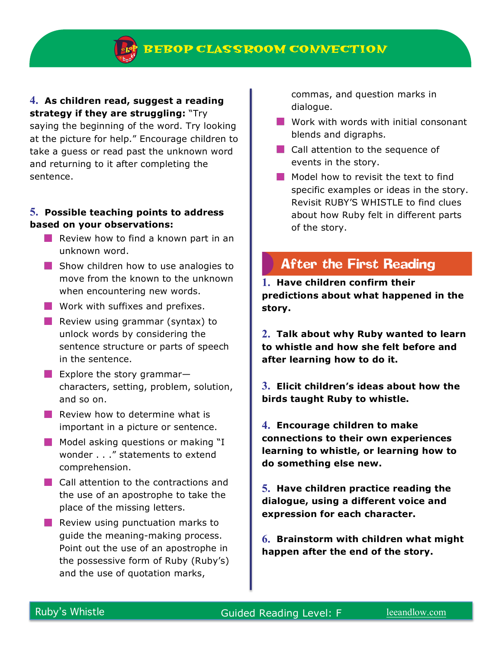#### **4. As children read, suggest a reading strategy if they are struggling:** "Try

saying the beginning of the word. Try looking at the picture for help." Encourage children to take a guess or read past the unknown word and returning to it after completing the sentence.

#### **5. Possible teaching points to address based on your observations:**

- **Review how to find a known part in an** unknown word.
- Show children how to use analogies to move from the known to the unknown when encountering new words.
- **Work with suffixes and prefixes.**
- **Review using grammar (syntax) to** unlock words by considering the sentence structure or parts of speech in the sentence.
- **Explore the story grammar–** characters, setting, problem, solution, and so on.
- $\blacksquare$  Review how to determine what is important in a picture or sentence.
- $\blacksquare$  Model asking questions or making "I wonder . . ." statements to extend comprehension.
- **Call attention to the contractions and** the use of an apostrophe to take the place of the missing letters.
- $\blacksquare$  Review using punctuation marks to guide the meaning-making process. Point out the use of an apostrophe in the possessive form of Ruby (Ruby's) and the use of quotation marks,

commas, and question marks in dialogue.

- **Work with words with initial consonant** blends and digraphs.
- Call attention to the sequence of events in the story.
- Model how to revisit the text to find specific examples or ideas in the story. Revisit RUBY'S WHISTLE to find clues about how Ruby felt in different parts of the story.

## **After the First Reading**

**1. Have children confirm their predictions about what happened in the story.** 

**2. Talk about why Ruby wanted to learn to whistle and how she felt before and after learning how to do it.**

**3. Elicit children's ideas about how the birds taught Ruby to whistle.**

**4. Encourage children to make connections to their own experiences learning to whistle, or learning how to do something else new.** 

**5. Have children practice reading the dialogue, using a different voice and expression for each character.**

**6. Brainstorm with children what might happen after the end of the story.**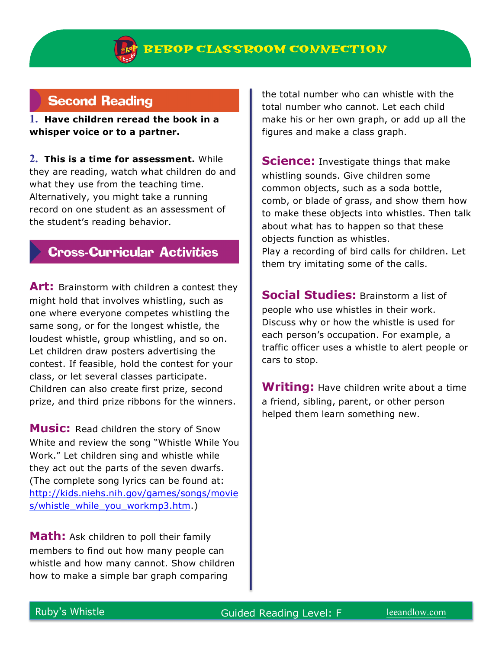## **Second Reading**

**1. Have children reread the book in a whisper voice or to a partner.**

**2. This is a time for assessment.** While they are reading, watch what children do and what they use from the teaching time. Alternatively, you might take a running record on one student as an assessment of the student's reading behavior.

## **Cross-Curricular Activities**

**Art:** Brainstorm with children a contest they might hold that involves whistling, such as one where everyone competes whistling the same song, or for the longest whistle, the loudest whistle, group whistling, and so on. Let children draw posters advertising the contest. If feasible, hold the contest for your class, or let several classes participate. Children can also create first prize, second prize, and third prize ribbons for the winners.

**Music:** Read children the story of Snow White and review the song "Whistle While You Work." Let children sing and whistle while they act out the parts of the seven dwarfs. (The complete song lyrics can be found at: http://kids.niehs.nih.gov/games/songs/movie s/whistle\_while\_you\_workmp3.htm.)

**Math:** Ask children to poll their family members to find out how many people can whistle and how many cannot. Show children how to make a simple bar graph comparing

the total number who can whistle with the total number who cannot. Let each child make his or her own graph, or add up all the figures and make a class graph.

**Science:** Investigate things that make whistling sounds. Give children some common objects, such as a soda bottle, comb, or blade of grass, and show them how to make these objects into whistles. Then talk about what has to happen so that these objects function as whistles. Play a recording of bird calls for children. Let them try imitating some of the calls.

**Social Studies:** Brainstorm a list of people who use whistles in their work. Discuss why or how the whistle is used for each person's occupation. For example, a traffic officer uses a whistle to alert people or cars to stop.

**Writing:** Have children write about a time a friend, sibling, parent, or other person helped them learn something new.